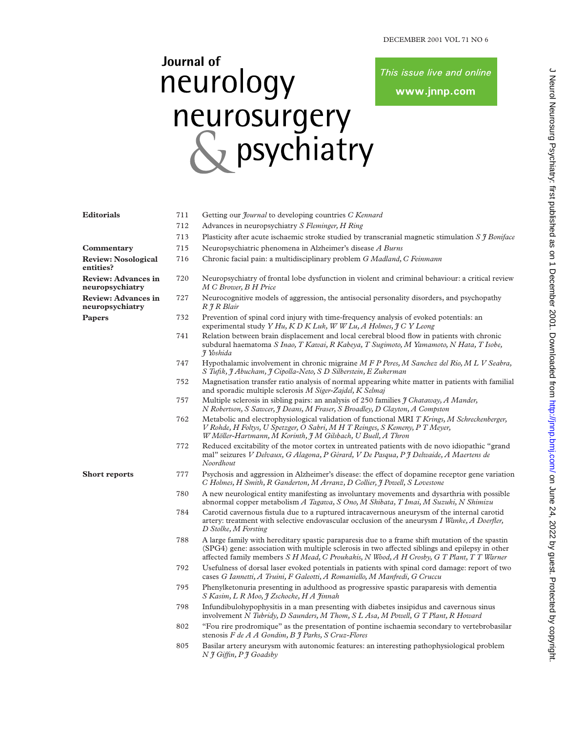This issue live and online

www.jnnp.com

## Journal of neurology neurosurgery<br>
So psychiatry

| <b>Editorials</b>                             | 711 | Getting our <i>Journal</i> to developing countries C Kennard                                                                                                                                                                                                                                   |  |  |  |
|-----------------------------------------------|-----|------------------------------------------------------------------------------------------------------------------------------------------------------------------------------------------------------------------------------------------------------------------------------------------------|--|--|--|
|                                               | 712 | Advances in neuropsychiatry S Fleminger, H Ring                                                                                                                                                                                                                                                |  |  |  |
|                                               | 713 | Plasticity after acute is chaemic stroke studied by transcranial magnetic stimulation $S \uparrow B \text{oniface}$                                                                                                                                                                            |  |  |  |
| Commentary                                    | 715 | Neuropsychiatric phenomena in Alzheimer's disease A Burns                                                                                                                                                                                                                                      |  |  |  |
| <b>Review: Nosological</b><br>entities?       | 716 | Chronic facial pain: a multidisciplinary problem G Madland, C Feinmann                                                                                                                                                                                                                         |  |  |  |
| <b>Review: Advances in</b><br>neuropsychiatry | 720 | Neuropsychiatry of frontal lobe dysfunction in violent and criminal behaviour: a critical review<br>M C Brower, B H Price                                                                                                                                                                      |  |  |  |
| <b>Review: Advances in</b><br>neuropsychiatry | 727 | Neurocognitive models of aggression, the antisocial personality disorders, and psychopathy<br>R J R Blair                                                                                                                                                                                      |  |  |  |
| Papers                                        | 732 | Prevention of spinal cord injury with time-frequency analysis of evoked potentials: an<br>experimental study Y Hu, K D K Luk, W W Lu, A Holmes, J C Y Leong                                                                                                                                    |  |  |  |
|                                               | 741 | Relation between brain displacement and local cerebral blood flow in patients with chronic<br>subdural haematoma S Inao, T Kawai, R Kabeya, T Sugimoto, M Yamamoto, N Hata, T Isobe,<br>J Yoshida                                                                                              |  |  |  |
|                                               | 747 | Hypothalamic involvement in chronic migraine M F P Peres, M Sanchez del Rio, M L V Seabra,<br>S Tufik, J Abucham, J Cipolla-Neto, S D Silberstein, E Zukerman                                                                                                                                  |  |  |  |
|                                               | 752 | Magnetisation transfer ratio analysis of normal appearing white matter in patients with familial<br>and sporadic multiple sclerosis M Siger-Zajdel, K Selmaj                                                                                                                                   |  |  |  |
|                                               | 757 | Multiple sclerosis in sibling pairs: an analysis of 250 families <i>I Chataway</i> , <i>A Mander</i> ,<br>N Robertson, S Sawcer, J Deans, M Fraser, S Broadley, D Clayton, A Compston                                                                                                          |  |  |  |
|                                               | 762 | Metabolic and electrophysiological validation of functional MRI T Krings, M Schreckenberger,<br>V Rohde, H Foltys, U Spetzger, O Sabri, M H T Reinges, S Kemeny, P T Meyer,<br>W Möller-Hartmann, M Korinth, J M Gilsbach, U Buell, A Thron                                                    |  |  |  |
|                                               | 772 | Reduced excitability of the motor cortex in untreated patients with de novo idiopathic "grand<br>mal" seizures V Delvaux, G Alagona, P Gérard, V De Pasqua, P J Delwaide, A Maertens de<br>Noordhout                                                                                           |  |  |  |
| <b>Short reports</b>                          | 777 | Psychosis and aggression in Alzheimer's disease: the effect of dopamine receptor gene variation<br>C Holmes, H Smith, R Ganderton, M Arranz, D Collier, J Powell, S Lovestone                                                                                                                  |  |  |  |
|                                               | 780 | A new neurological entity manifesting as involuntary movements and dysarthria with possible<br>abnormal copper metabolism A Tagawa, S Ono, M Shibata, T Imai, M Suzuki, N Shimizu                                                                                                              |  |  |  |
|                                               | 784 | Carotid cavernous fistula due to a ruptured intracavernous aneurysm of the internal carotid<br>artery: treatment with selective endovascular occlusion of the aneurysm I Wanke, A Doerfler,<br>D Stolke, M Forsting                                                                            |  |  |  |
|                                               | 788 | A large family with hereditary spastic paraparesis due to a frame shift mutation of the spastin<br>(SPG4) gene: association with multiple sclerosis in two affected siblings and epilepsy in other<br>affected family members S H Mead, C Proukakis, N Wood, A H Crosby, G T Plant, T T Warner |  |  |  |
|                                               | 792 | Usefulness of dorsal laser evoked potentials in patients with spinal cord damage: report of two<br>cases G Iannetti, A Truini, F Galeotti, A Romaniello, M Manfredi, G Cruccu                                                                                                                  |  |  |  |
|                                               | 795 | Phenylketonuria presenting in adulthood as progressive spastic paraparesis with dementia<br>S Kasim, L R Moo, J Zschocke, H A Jinnah                                                                                                                                                           |  |  |  |
|                                               | 798 | Infundibulohypophysitis in a man presenting with diabetes insipidus and cavernous sinus<br>involvement N Tubridy, D Saunders, M Thom, S L Asa, M Powell, G T Plant, R Howard                                                                                                                   |  |  |  |
|                                               | 802 | "Fou rire prodromique" as the presentation of pontine ischaemia secondary to vertebrobasilar<br>stenosis F de A A Gondim, B J Parks, S Cruz-Flores                                                                                                                                             |  |  |  |
|                                               | 805 | Basilar artery aneurysm with autonomic features: an interesting pathophysiological problem<br>N J Giffin, P J Goadsby                                                                                                                                                                          |  |  |  |